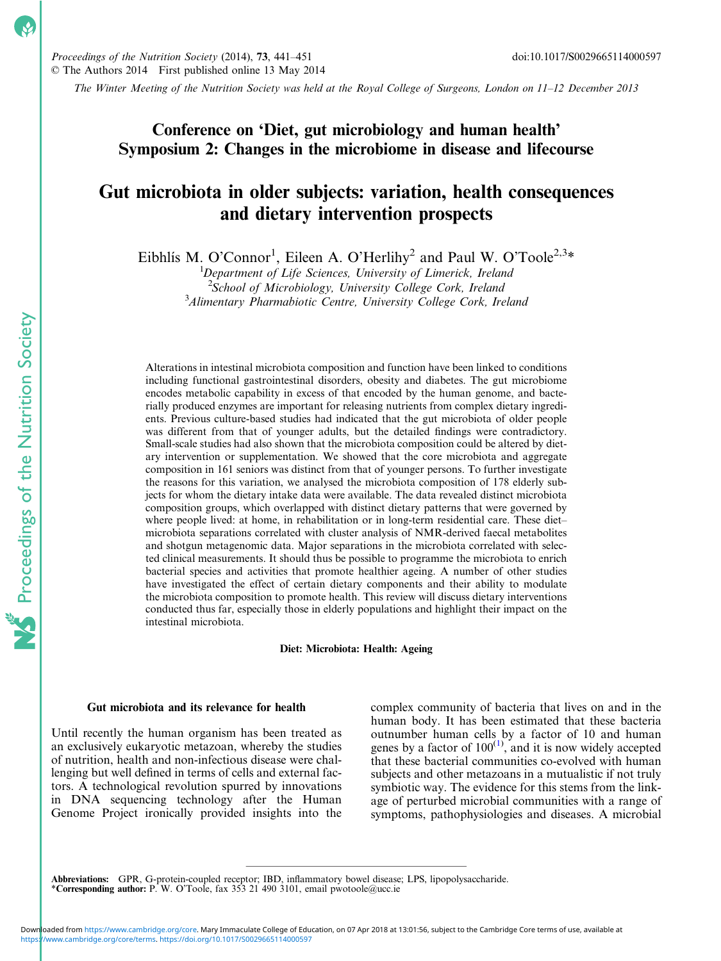The Winter Meeting of the Nutrition Society was held at the Royal College of Surgeons, London on 11–12 December 2013

# Conference on 'Diet, gut microbiology and human health' Symposium 2: Changes in the microbiome in disease and lifecourse

# Gut microbiota in older subjects: variation, health consequences and dietary intervention prospects

Eibhlís M. O'Connor<sup>1</sup>, Eileen A. O'Herlihy<sup>2</sup> and Paul W. O'Toole<sup>2,3\*</sup>

<sup>1</sup>Department of Life Sciences, University of Limerick, Ireland <sup>2</sup>School of Microbiology, University College Cork, Ireland <sup>3</sup> Alimentary Pharmabiotic Centre, University College Cork, Ireland

Alterations in intestinal microbiota composition and function have been linked to conditions including functional gastrointestinal disorders, obesity and diabetes. The gut microbiome encodes metabolic capability in excess of that encoded by the human genome, and bacterially produced enzymes are important for releasing nutrients from complex dietary ingredients. Previous culture-based studies had indicated that the gut microbiota of older people was different from that of younger adults, but the detailed findings were contradictory. Small-scale studies had also shown that the microbiota composition could be altered by dietary intervention or supplementation. We showed that the core microbiota and aggregate composition in 161 seniors was distinct from that of younger persons. To further investigate the reasons for this variation, we analysed the microbiota composition of 178 elderly subjects for whom the dietary intake data were available. The data revealed distinct microbiota composition groups, which overlapped with distinct dietary patterns that were governed by where people lived: at home, in rehabilitation or in long-term residential care. These dietmicrobiota separations correlated with cluster analysis of NMR-derived faecal metabolites and shotgun metagenomic data. Major separations in the microbiota correlated with selected clinical measurements. It should thus be possible to programme the microbiota to enrich bacterial species and activities that promote healthier ageing. A number of other studies have investigated the effect of certain dietary components and their ability to modulate the microbiota composition to promote health. This review will discuss dietary interventions conducted thus far, especially those in elderly populations and highlight their impact on the intestinal microbiota.

### Diet: Microbiota: Health: Ageing

### Gut microbiota and its relevance for health

Until recently the human organism has been treated as an exclusively eukaryotic metazoan, whereby the studies of nutrition, health and non-infectious disease were challenging but well defined in terms of cells and external factors. A technological revolution spurred by innovations in DNA sequencing technology after the Human Genome Project ironically provided insights into the complex community of bacteria that lives on and in the human body. It has been estimated that these bacteria outnumber human cells by a factor of 10 and human genes by a factor of  $100^{(1)}$  $100^{(1)}$  $100^{(1)}$ , and it is now widely accepted that these bacterial communities co-evolved with human subjects and other metazoans in a mutualistic if not truly symbiotic way. The evidence for this stems from the linkage of perturbed microbial communities with a range of symptoms, pathophysiologies and diseases. A microbial

Abbreviations: GPR, G-protein-coupled receptor; IBD, inflammatory bowel disease; LPS, lipopolysaccharide.<br>\*Corresponding author: P. W. O'Toole, fax 353 21 490 3101, email pwotoole@ucc.ie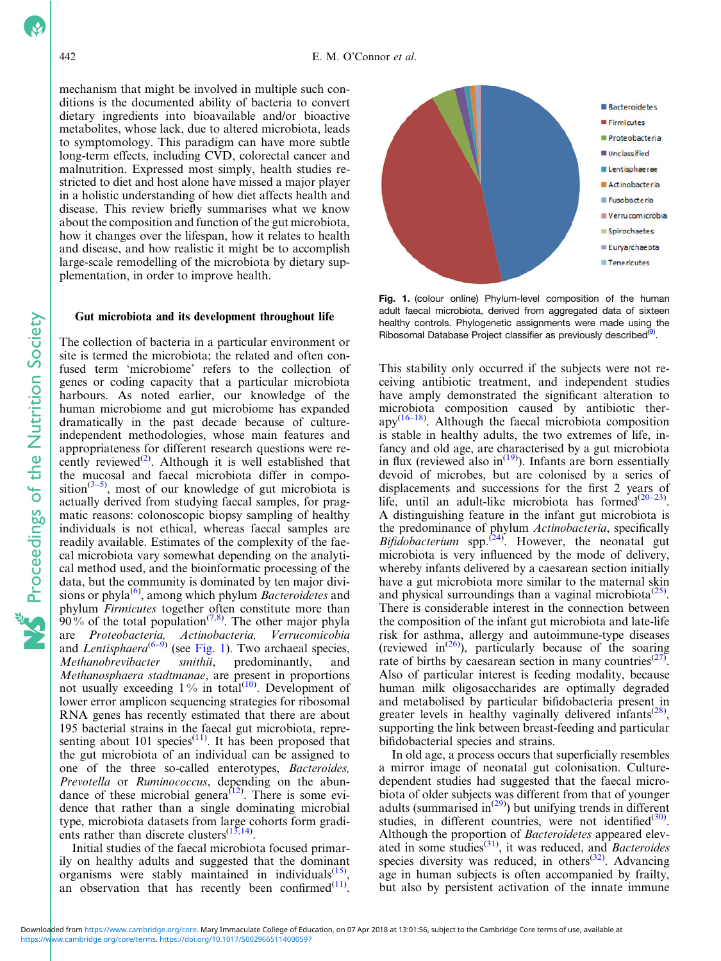<span id="page-1-0"></span>mechanism that might be involved in multiple such conditions is the documented ability of bacteria to convert dietary ingredients into bioavailable and/or bioactive metabolites, whose lack, due to altered microbiota, leads to symptomology. This paradigm can have more subtle long-term effects, including CVD, colorectal cancer and malnutrition. Expressed most simply, health studies restricted to diet and host alone have missed a major player in a holistic understanding of how diet affects health and disease. This review briefly summarises what we know about the composition and function of the gut microbiota, how it changes over the lifespan, how it relates to health and disease, and how realistic it might be to accomplish large-scale remodelling of the microbiota by dietary supplementation, in order to improve health.

## Gut microbiota and its development throughout life

The collection of bacteria in a particular environment or site is termed the microbiota; the related and often confused term 'microbiome' refers to the collection of genes or coding capacity that a particular microbiota harbours. As noted earlier, our knowledge of the human microbiome and gut microbiome has expanded dramatically in the past decade because of cultureindependent methodologies, whose main features and appropriateness for different research questions were re-cently reviewed<sup>[\(2](#page-7-0))</sup>. Although it is well established that the mucosal and faecal microbiota differ in compo-sition<sup>([3](#page-7-0)–[5](#page-7-0))</sup>, most of our knowledge of gut microbiota is actually derived from studying faecal samples, for pragmatic reasons: colonoscopic biopsy sampling of healthy individuals is not ethical, whereas faecal samples are readily available. Estimates of the complexity of the faecal microbiota vary somewhat depending on the analytical method used, and the bioinformatic processing of the data, but the community is dominated by ten major divisions or phyla $^{(6)}$  $^{(6)}$  $^{(6)}$ , among which phylum Bacteroidetes and phylum Firmicutes together often constitute more than  $90\%$  of the total population<sup>[\(7,8\)](#page-7-0)</sup>. The other major phyla are Proteobacteria, Actinobacteria, Verrucomicobia and *Lentisphaera*<sup>([6](#page-7-0)–[9\)](#page-7-0)</sup> (see Fig. 1). Two archaeal species, Methanobrevibacter smithii, predominantly, and Methanosphaera stadtmanae, are present in proportions not usually exceeding  $1\%$  in total<sup>([10](#page-7-0))</sup>. Development of lower error amplicon sequencing strategies for ribosomal RNA genes has recently estimated that there are about 195 bacterial strains in the faecal gut microbiota, representing about 101 species $(11)$ . It has been proposed that the gut microbiota of an individual can be assigned to one of the three so-called enterotypes, Bacteroides, Prevotella or Ruminococcus, depending on the abundance of these microbial genera $(12)$ . There is some evidence that rather than a single dominating microbial type, microbiota datasets from large cohorts form gradients rather than discrete clusters<sup> $(13,14)$  $(13,14)$ </sup>.

Initial studies of the faecal microbiota focused primarily on healthy adults and suggested that the dominant organisms were stably maintained in individuals $\frac{(15)}{2}$  $\frac{(15)}{2}$  $\frac{(15)}{2}$ , an observation that has recently been confirmed $(11)$ .



Fig. 1. (colour online) Phylum-level composition of the human adult faecal microbiota, derived from aggregated data of sixteen healthy controls. Phylogenetic assignments were made using the Ribosomal Database Project classifier as previously described<sup>[\(9\)](#page-7-0)</sup>.

This stability only occurred if the subjects were not receiving antibiotic treatment, and independent studies have amply demonstrated the significant alteration to microbiota composition caused by antibiotic ther- $\rm{app}^{(16-18)}$  $\rm{app}^{(16-18)}$  $\rm{app}^{(16-18)}$  $\rm{app}^{(16-18)}$  $\rm{app}^{(16-18)}$ . Although the faecal microbiota composition is stable in healthy adults, the two extremes of life, infancy and old age, are characterised by a gut microbiota in flux (reviewed also in $^{(19)}$  $^{(19)}$  $^{(19)}$ ). Infants are born essentially devoid of microbes, but are colonised by a series of displacements and successions for the first 2 years of life, until an adult-like microbiota has formed $(20-23)$  $(20-23)$  $(20-23)$ . A distinguishing feature in the infant gut microbiota is the predominance of phylum Actinobacteria, specifically Bifidobacterium spp. $(24)$ . However, the neonatal gut microbiota is very influenced by the mode of delivery, whereby infants delivered by a caesarean section initially have a gut microbiota more similar to the maternal skin and physical surroundings than a vaginal microbiota<sup>[\(25\)](#page-7-0)</sup>. There is considerable interest in the connection between the composition of the infant gut microbiota and late-life risk for asthma, allergy and autoimmune-type diseases (reviewed in<sup>[\(26\)](#page-8-0)</sup>), particularly because of the soaring rate of births by caesarean section in many countries<sup> $(27)$ </sup>. Also of particular interest is feeding modality, because human milk oligosaccharides are optimally degraded and metabolised by particular bifidobacteria present in greater levels in healthy vaginally delivered infants<sup>[\(28\)](#page-8-0)</sup>, supporting the link between breast-feeding and particular bifidobacterial species and strains.

In old age, a process occurs that superficially resembles a mirror image of neonatal gut colonisation. Culturedependent studies had suggested that the faecal microbiota of older subjects was different from that of younger adults (summarised in $^{(29)}$  $^{(29)}$  $^{(29)}$ ) but unifying trends in different studies, in different countries, were not identified $(30)$ . Although the proportion of Bacteroidetes appeared elev-ated in some studies<sup>[\(31\)](#page-8-0)</sup>, it was reduced, and Bacteroides species diversity was reduced, in others<sup>([32](#page-8-0))</sup>. Advancing age in human subjects is often accompanied by frailty, but also by persistent activation of the innate immune

Downloaded from [https://www.cambridge.org/core.](https://www.cambridge.org/core) Mary Immaculate College of Education, on 07 Apr 2018 at 13:01:56, subject to the Cambridge Core terms of use, available at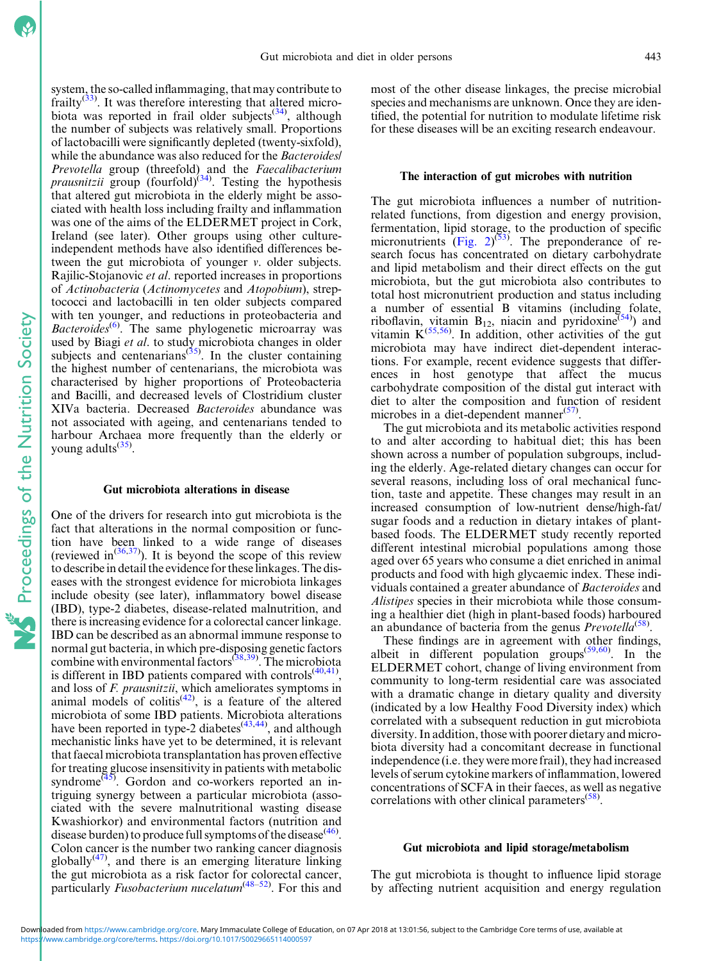Proceedings of the Nutrition Society

**NS** Proceedings of the Nutrition Society

system, the so-called inflammaging, that may contribute to frailty<sup>[\(33\)](#page-8-0)</sup>. It was therefore interesting that altered micro-biota was reported in frail older subjects<sup>[\(34\)](#page-8-0)</sup>, although the number of subjects was relatively small. Proportions of lactobacilli were significantly depleted (twenty-sixfold), while the abundance was also reduced for the *Bacteroides* Prevotella group (threefold) and the Faecalibacterium *prausnitzii* group (fourfold)<sup>([34](#page-8-0))</sup>. Testing the hypothesis that altered gut microbiota in the elderly might be associated with health loss including frailty and inflammation was one of the aims of the ELDERMET project in Cork, Ireland (see later). Other groups using other cultureindependent methods have also identified differences between the gut microbiota of younger v. older subjects. Rajilic-Stojanovic et al. reported increases in proportions of Actinobacteria (Actinomycetes and Atopobium), streptococci and lactobacilli in ten older subjects compared with ten younger, and reductions in proteobacteria and Bacteroides<sup>([6](#page-7-0))</sup>. The same phylogenetic microarray was used by Biagi et al. to study microbiota changes in older subjects and centenarians<sup> $(35)$  $(35)$ </sup>. In the cluster containing the highest number of centenarians, the microbiota was characterised by higher proportions of Proteobacteria and Bacilli, and decreased levels of Clostridium cluster XIVa bacteria. Decreased Bacteroides abundance was not associated with ageing, and centenarians tended to harbour Archaea more frequently than the elderly or young adults<sup>([35](#page-8-0))</sup>.

## Gut microbiota alterations in disease

One of the drivers for research into gut microbiota is the fact that alterations in the normal composition or function have been linked to a wide range of diseases (reviewed in<sup>[\(36,37\)](#page-8-0)</sup>). It is beyond the scope of this review to describe in detail the evidence for these linkages. The diseases with the strongest evidence for microbiota linkages include obesity (see later), inflammatory bowel disease (IBD), type-2 diabetes, disease-related malnutrition, and there is increasing evidence for a colorectal cancer linkage. IBD can be described as an abnormal immune response to normal gut bacteria, in which pre-disposing genetic factors combine with environmental factors<sup>([38,39](#page-8-0))</sup>. The microbiota is different in IBD patients compared with controls $(40,41)$  $(40,41)$ , and loss of F. prausnitzii, which ameliorates symptoms in animal models of colitis<sup> $(42)$ </sup>, is a feature of the altered microbiota of some IBD patients. Microbiota alterations have been reported in type-2 diabetes<sup> $(43,44)$  $(43,44)$ </sup>, and although mechanistic links have yet to be determined, it is relevant that faecal microbiota transplantation has proven effective for treating glucose insensitivity in patients with metabolic syndrome<sup>([45](#page-8-0))</sup>. Gordon and co-workers reported an intriguing synergy between a particular microbiota (associated with the severe malnutritional wasting disease Kwashiorkor) and environmental factors (nutrition and disease burden) to produce full symptoms of the disease<sup>([46](#page-8-0))</sup>. Colon cancer is the number two ranking cancer diagnosis globally<sup>([47](#page-8-0))</sup>, and there is an emerging literature linking the gut microbiota as a risk factor for colorectal cancer, particularly Fusobacterium nucelatum<sup>([48](#page-8-0)-[52](#page-8-0))</sup>. For this and

most of the other disease linkages, the precise microbial species and mechanisms are unknown. Once they are identified, the potential for nutrition to modulate lifetime risk for these diseases will be an exciting research endeavour.

### The interaction of gut microbes with nutrition

The gut microbiota influences a number of nutritionrelated functions, from digestion and energy provision, fermentation, lipid storage, to the production of specific micronutrients  $(Fig. 2)^{(53)}$  $(Fig. 2)^{(53)}$  $(Fig. 2)^{(53)}$  $(Fig. 2)^{(53)}$ . The preponderance of research focus has concentrated on dietary carbohydrate and lipid metabolism and their direct effects on the gut microbiota, but the gut microbiota also contributes to total host micronutrient production and status including a number of essential B vitamins (including folate, riboflavin, vitamin  $B_{12}$ , niacin and pyridoxine<sup>[\(54\)](#page-8-0)</sup>) and vitamin  $K^{(55,56)}$  $K^{(55,56)}$  $K^{(55,56)}$ . In addition, other activities of the gut microbiota may have indirect diet-dependent interactions. For example, recent evidence suggests that differences in host genotype that affect the mucus carbohydrate composition of the distal gut interact with diet to alter the composition and function of resident microbes in a diet-dependent manner<sup>([57](#page-8-0))</sup>.

The gut microbiota and its metabolic activities respond to and alter according to habitual diet; this has been shown across a number of population subgroups, including the elderly. Age-related dietary changes can occur for several reasons, including loss of oral mechanical function, taste and appetite. These changes may result in an increased consumption of low-nutrient dense/high-fat/ sugar foods and a reduction in dietary intakes of plantbased foods. The ELDERMET study recently reported different intestinal microbial populations among those aged over 65 years who consume a diet enriched in animal products and food with high glycaemic index. These individuals contained a greater abundance of Bacteroides and Alistipes species in their microbiota while those consuming a healthier diet (high in plant-based foods) harboured an abundance of bacteria from the genus  $Prevotella$ <sup>[\(58\)](#page-8-0)</sup>.

These findings are in agreement with other findings, albeit in different population groups<sup> $(59,60)$  $(59,60)$ </sup>. In the ELDERMET cohort, change of living environment from community to long-term residential care was associated with a dramatic change in dietary quality and diversity (indicated by a low Healthy Food Diversity index) which correlated with a subsequent reduction in gut microbiota diversity. In addition, those with poorer dietary and microbiota diversity had a concomitant decrease in functional independence (i.e. they were more frail), they had increased levels of serum cytokine markers of inflammation, lowered concentrations of SCFA in their faeces, as well as negative correlations with other clinical parameters $(58)$  $(58)$  $(58)$ .

### Gut microbiota and lipid storage/metabolism

The gut microbiota is thought to influence lipid storage by affecting nutrient acquisition and energy regulation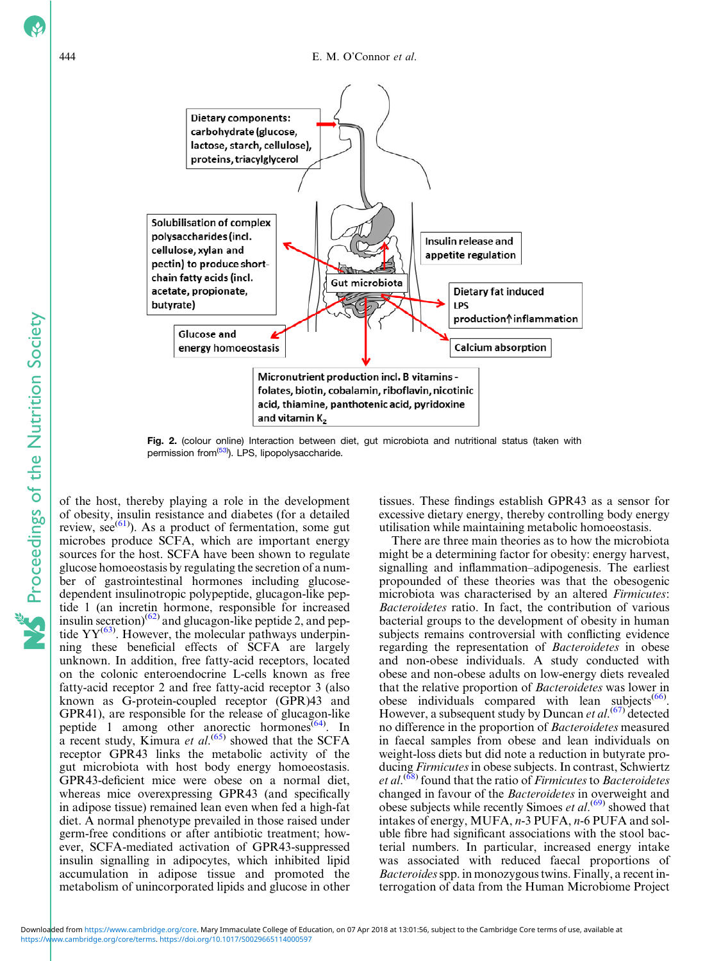<span id="page-3-0"></span>

Fig. 2. (colour online) Interaction between diet, gut microbiota and nutritional status (taken with permission from<sup>([53](#page-8-0))</sup>). LPS, lipopolysaccharide.

**Proceeding of the host, thereby playing a role in the development of obesity, insulin resistance and diabetes, biotin pearlies of the host, thereby playing a role in the development of obesity, insulin resistance and dia** of obesity, insulin resistance and diabetes (for a detailed review, see<sup>[\(61\)](#page-8-0)</sup>). As a product of fermentation, some gut microbes produce SCFA, which are important energy sources for the host. SCFA have been shown to regulate glucose homoeostasis by regulating the secretion of a number of gastrointestinal hormones including glucosedependent insulinotropic polypeptide, glucagon-like peptide 1 (an incretin hormone, responsible for increased insulin secretion)<sup>[\(62\)](#page-8-0)</sup> and glucagon-like peptide 2, and pep-tide YY<sup>[\(63\)](#page-8-0)</sup>. However, the molecular pathways underpinning these beneficial effects of SCFA are largely unknown. In addition, free fatty-acid receptors, located on the colonic enteroendocrine L-cells known as free fatty-acid receptor 2 and free fatty-acid receptor 3 (also known as G-protein-coupled receptor (GPR)43 and GPR41), are responsible for the release of glucagon-like peptide 1 among other anorectic hormones<sup>[\(64\)](#page-8-0)</sup>. In a recent study, Kimura et  $al$ .<sup>([65](#page-8-0))</sup> showed that the SCFA receptor GPR43 links the metabolic activity of the gut microbiota with host body energy homoeostasis. GPR43-deficient mice were obese on a normal diet, whereas mice overexpressing GPR43 (and specifically in adipose tissue) remained lean even when fed a high-fat diet. A normal phenotype prevailed in those raised under germ-free conditions or after antibiotic treatment; however, SCFA-mediated activation of GPR43-suppressed insulin signalling in adipocytes, which inhibited lipid accumulation in adipose tissue and promoted the metabolism of unincorporated lipids and glucose in other

tissues. These findings establish GPR43 as a sensor for excessive dietary energy, thereby controlling body energy utilisation while maintaining metabolic homoeostasis.

There are three main theories as to how the microbiota might be a determining factor for obesity: energy harvest, signalling and inflammation–adipogenesis. The earliest propounded of these theories was that the obesogenic microbiota was characterised by an altered Firmicutes: Bacteroidetes ratio. In fact, the contribution of various bacterial groups to the development of obesity in human subjects remains controversial with conflicting evidence regarding the representation of Bacteroidetes in obese and non-obese individuals. A study conducted with obese and non-obese adults on low-energy diets revealed that the relative proportion of Bacteroidetes was lower in obese individuals compared with lean subjects<sup>[\(66\)](#page-9-0)</sup>. However, a subsequent study by Duncan et  $al^{(67)}$  $al^{(67)}$  $al^{(67)}$  detected no difference in the proportion of Bacteroidetes measured in faecal samples from obese and lean individuals on weight-loss diets but did note a reduction in butyrate producing Firmicutes in obese subjects. In contrast, Schwiertz et al.<sup>([68](#page-9-0))</sup> found that the ratio of Firmicutes to Bacteroidetes changed in favour of the Bacteroidetes in overweight and obese subjects while recently Simoes et  $al$ .<sup>[\(69\)](#page-9-0)</sup> showed that intakes of energy, MUFA, n-3 PUFA, n-6 PUFA and soluble fibre had significant associations with the stool bacterial numbers. In particular, increased energy intake was associated with reduced faecal proportions of Bacteroides spp. in monozygous twins. Finally, a recent interrogation of data from the Human Microbiome Project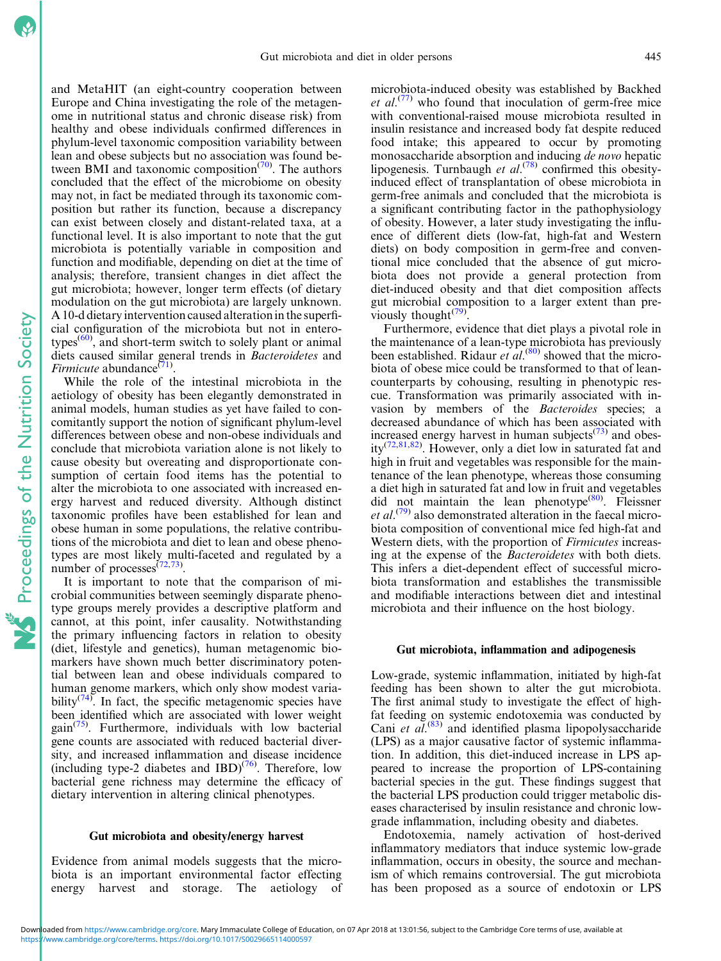and MetaHIT (an eight-country cooperation between Europe and China investigating the role of the metagenome in nutritional status and chronic disease risk) from healthy and obese individuals confirmed differences in phylum-level taxonomic composition variability between lean and obese subjects but no association was found be-tween BMI and taxonomic composition<sup>([70](#page-9-0))</sup>. The authors concluded that the effect of the microbiome on obesity may not, in fact be mediated through its taxonomic composition but rather its function, because a discrepancy can exist between closely and distant-related taxa, at a functional level. It is also important to note that the gut microbiota is potentially variable in composition and function and modifiable, depending on diet at the time of analysis; therefore, transient changes in diet affect the gut microbiota; however, longer term effects (of dietary modulation on the gut microbiota) are largely unknown. A 10-d dietary intervention caused alteration in the superficial configuration of the microbiota but not in enterotypes<sup> $(60)$ </sup>, and short-term switch to solely plant or animal diets caused similar general trends in Bacteroidetes and Firmicute abundance<sup>([71](#page-9-0))</sup>.

While the role of the intestinal microbiota in the aetiology of obesity has been elegantly demonstrated in animal models, human studies as yet have failed to concomitantly support the notion of significant phylum-level differences between obese and non-obese individuals and conclude that microbiota variation alone is not likely to cause obesity but overeating and disproportionate consumption of certain food items has the potential to alter the microbiota to one associated with increased energy harvest and reduced diversity. Although distinct taxonomic profiles have been established for lean and obese human in some populations, the relative contributions of the microbiota and diet to lean and obese phenotypes are most likely multi-faceted and regulated by a number of processes $(72,73)$  $(72,73)$ .

It is important to note that the comparison of microbial communities between seemingly disparate phenotype groups merely provides a descriptive platform and cannot, at this point, infer causality. Notwithstanding the primary influencing factors in relation to obesity (diet, lifestyle and genetics), human metagenomic biomarkers have shown much better discriminatory potential between lean and obese individuals compared to human genome markers, which only show modest varia-bility<sup>[\(74\)](#page-9-0)</sup>. In fact, the specific metagenomic species have been identified which are associated with lower weight gain<sup>([75](#page-9-0))</sup>. Furthermore, individuals with low bacterial gene counts are associated with reduced bacterial diversity, and increased inflammation and disease incidence (including type-2 diabetes and  $IBD$ )<sup>[\(76\)](#page-9-0)</sup>. Therefore, low bacterial gene richness may determine the efficacy of dietary intervention in altering clinical phenotypes.

## Gut microbiota and obesity/energy harvest

Evidence from animal models suggests that the microbiota is an important environmental factor effecting energy harvest and storage. The aetiology of

microbiota-induced obesity was established by Backhed et  $al^{(77)}$  $al^{(77)}$  $al^{(77)}$  who found that inoculation of germ-free mice with conventional-raised mouse microbiota resulted in insulin resistance and increased body fat despite reduced food intake; this appeared to occur by promoting monosaccharide absorption and inducing de novo hepatic lipogenesis. Turnbaugh et  $al^{(78)}$  $al^{(78)}$  $al^{(78)}$  confirmed this obesityinduced effect of transplantation of obese microbiota in germ-free animals and concluded that the microbiota is a significant contributing factor in the pathophysiology of obesity. However, a later study investigating the influence of different diets (low-fat, high-fat and Western diets) on body composition in germ-free and conventional mice concluded that the absence of gut microbiota does not provide a general protection from diet-induced obesity and that diet composition affects gut microbial composition to a larger extent than previously thought $^{(79)}$  $^{(79)}$  $^{(79)}$ .

Furthermore, evidence that diet plays a pivotal role in the maintenance of a lean-type microbiota has previously been established. Ridaur et  $al$ .<sup>[\(80\)](#page-9-0)</sup> showed that the microbiota of obese mice could be transformed to that of leancounterparts by cohousing, resulting in phenotypic rescue. Transformation was primarily associated with invasion by members of the Bacteroides species; a decreased abundance of which has been associated with increased energy harvest in human subjects $(73)$  and obes-ity<sup>([72,81,82](#page-9-0))</sup>. However, only a diet low in saturated fat and high in fruit and vegetables was responsible for the maintenance of the lean phenotype, whereas those consuming a diet high in saturated fat and low in fruit and vegetables did not maintain the lean phenotype<sup>[\(80\)](#page-9-0)</sup>. Fleissner et  $al^{(79)}$  $al^{(79)}$  $al^{(79)}$  also demonstrated alteration in the faecal microbiota composition of conventional mice fed high-fat and Western diets, with the proportion of Firmicutes increasing at the expense of the Bacteroidetes with both diets. This infers a diet-dependent effect of successful microbiota transformation and establishes the transmissible and modifiable interactions between diet and intestinal microbiota and their influence on the host biology.

### Gut microbiota, inflammation and adipogenesis

Low-grade, systemic inflammation, initiated by high-fat feeding has been shown to alter the gut microbiota. The first animal study to investigate the effect of highfat feeding on systemic endotoxemia was conducted by Cani et al.<sup>[\(83](#page-9-0))</sup> and identified plasma lipopolysaccharide (LPS) as a major causative factor of systemic inflammation. In addition, this diet-induced increase in LPS appeared to increase the proportion of LPS-containing bacterial species in the gut. These findings suggest that the bacterial LPS production could trigger metabolic diseases characterised by insulin resistance and chronic lowgrade inflammation, including obesity and diabetes.

Endotoxemia, namely activation of host-derived inflammatory mediators that induce systemic low-grade inflammation, occurs in obesity, the source and mechanism of which remains controversial. The gut microbiota has been proposed as a source of endotoxin or LPS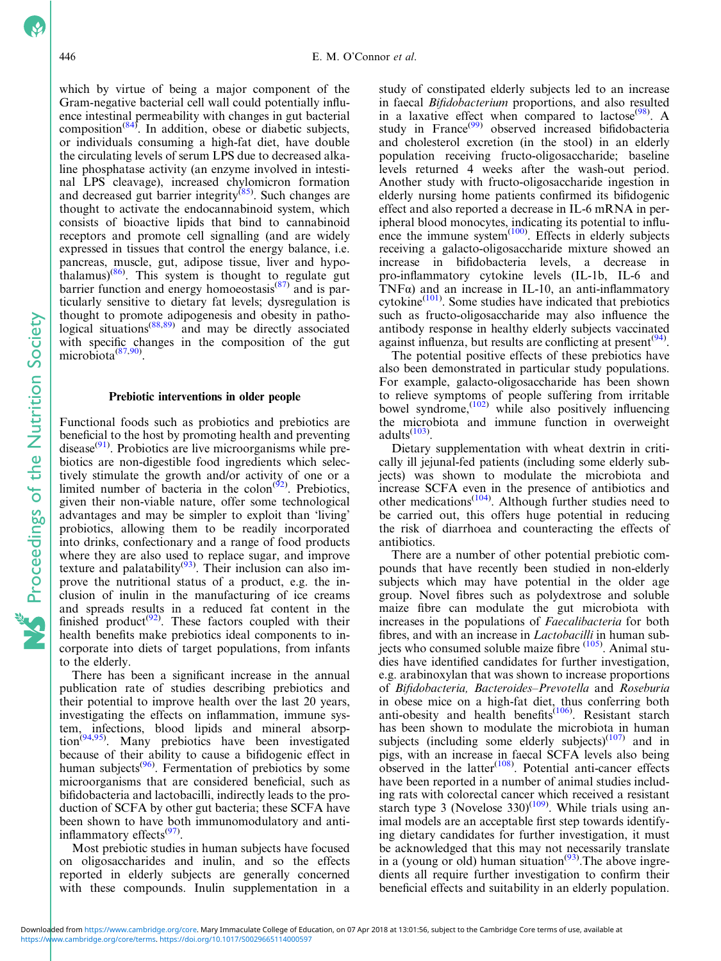which by virtue of being a major component of the Gram-negative bacterial cell wall could potentially influence intestinal permeability with changes in gut bacterial composition<sup>([84](#page-9-0))</sup>. In addition, obese or diabetic subjects, or individuals consuming a high-fat diet, have double the circulating levels of serum LPS due to decreased alkaline phosphatase activity (an enzyme involved in intestinal LPS cleavage), increased chylomicron formation and decreased gut barrier integrity<sup>[\(85\)](#page-9-0)</sup>. Such changes are thought to activate the endocannabinoid system, which consists of bioactive lipids that bind to cannabinoid receptors and promote cell signalling (and are widely expressed in tissues that control the energy balance, i.e. pancreas, muscle, gut, adipose tissue, liver and hypothalamus) $(86)$ . This system is thought to regulate gut barrier function and energy homoeostasis $(87)$  and is particularly sensitive to dietary fat levels; dysregulation is thought to promote adipogenesis and obesity in patho-logical situations<sup>[\(88,89](#page-9-0))</sup> and may be directly associated with specific changes in the composition of the gut microbiota<sup>([87,90\)](#page-9-0)</sup>.

# Prebiotic interventions in older people

Functional foods such as probiotics and prebiotics are beneficial to the host by promoting health and preventing disease<sup>([91](#page-9-0))</sup>. Probiotics are live microorganisms while prebiotics are non-digestible food ingredients which selectively stimulate the growth and/or activity of one or a limited number of bacteria in the colon<sup>([92](#page-9-0))</sup>. Prebiotics, given their non-viable nature, offer some technological advantages and may be simpler to exploit than 'living' probiotics, allowing them to be readily incorporated into drinks, confectionary and a range of food products where they are also used to replace sugar, and improve texture and palatability<sup>([93](#page-9-0))</sup>. Their inclusion can also improve the nutritional status of a product, e.g. the inclusion of inulin in the manufacturing of ice creams and spreads results in a reduced fat content in the finished product<sup>([92](#page-9-0))</sup>. These factors coupled with their health benefits make prebiotics ideal components to incorporate into diets of target populations, from infants to the elderly.

There has been a significant increase in the annual publication rate of studies describing prebiotics and their potential to improve health over the last 20 years, investigating the effects on inflammation, immune system, infections, blood lipids and mineral absorp-tion<sup>[\(94,95](#page-9-0))</sup>. Many prebiotics have been investigated because of their ability to cause a bifidogenic effect in human subjects<sup>([96](#page-9-0))</sup>. Fermentation of prebiotics by some microorganisms that are considered beneficial, such as bifidobacteria and lactobacilli, indirectly leads to the production of SCFA by other gut bacteria; these SCFA have been shown to have both immunomodulatory and anti-inflammatory effects<sup>([97](#page-9-0))</sup>.

Most prebiotic studies in human subjects have focused on oligosaccharides and inulin, and so the effects reported in elderly subjects are generally concerned with these compounds. Inulin supplementation in a

study of constipated elderly subjects led to an increase in faecal Bifidobacterium proportions, and also resulted in a laxative effect when compared to lactose<sup>([98](#page-9-0))</sup>. A study in France<sup>([99](#page-9-0))</sup> observed increased bifidobacteria and cholesterol excretion (in the stool) in an elderly population receiving fructo-oligosaccharide; baseline levels returned 4 weeks after the wash-out period. Another study with fructo-oligosaccharide ingestion in elderly nursing home patients confirmed its bifidogenic effect and also reported a decrease in IL-6 mRNA in peripheral blood monocytes, indicating its potential to influence the immune system $^{(100)}$  $^{(100)}$  $^{(100)}$ . Effects in elderly subjects receiving a galacto-oligosaccharide mixture showed an increase in bifidobacteria levels, a decrease in pro-inflammatory cytokine levels (IL-1b, IL-6 and TNF $\alpha$ ) and an increase in IL-10, an anti-inflammatory cytokine $(101)$ . Some studies have indicated that prebiotics such as fructo-oligosaccharide may also influence the antibody response in healthy elderly subjects vaccinated against influenza, but results are conflicting at present<sup>[\(94\)](#page-9-0)</sup>.

The potential positive effects of these prebiotics have also been demonstrated in particular study populations. For example, galacto-oligosaccharide has been shown to relieve symptoms of people suffering from irritable bowel syndrome, $(102)$  $(102)$  while also positively influencing the microbiota and immune function in overweight adults $(103)$  $(103)$  $(103)$ .

Dietary supplementation with wheat dextrin in critically ill jejunal-fed patients (including some elderly subjects) was shown to modulate the microbiota and increase SCFA even in the presence of antibiotics and other medications<sup>([104](#page-10-0))</sup>. Although further studies need to be carried out, this offers huge potential in reducing the risk of diarrhoea and counteracting the effects of antibiotics.

There are a number of other potential prebiotic compounds that have recently been studied in non-elderly subjects which may have potential in the older age group. Novel fibres such as polydextrose and soluble maize fibre can modulate the gut microbiota with increases in the populations of Faecalibacteria for both fibres, and with an increase in *Lactobacilli* in human sub-jects who consumed soluble maize fibre <sup>([105](#page-10-0))</sup>. Animal studies have identified candidates for further investigation, e.g. arabinoxylan that was shown to increase proportions of Bifidobacteria, Bacteroides–Prevotella and Roseburia in obese mice on a high-fat diet, thus conferring both anti-obesity and health benefits<sup>([106](#page-10-0))</sup>. Resistant starch has been shown to modulate the microbiota in human subjects (including some elderly subjects) $(107)$  $(107)$  and in pigs, with an increase in faecal SCFA levels also being observed in the latter $(108)$  $(108)$  $(108)$ . Potential anti-cancer effects have been reported in a number of animal studies including rats with colorectal cancer which received a resistant starch type 3 (Novelose  $330)^{(109)}$  $330)^{(109)}$  $330)^{(109)}$ . While trials using animal models are an acceptable first step towards identifying dietary candidates for further investigation, it must be acknowledged that this may not necessarily translate in a (young or old) human situation<sup>[\(93\)](#page-9-0)</sup>. The above ingredients all require further investigation to confirm their beneficial effects and suitability in an elderly population.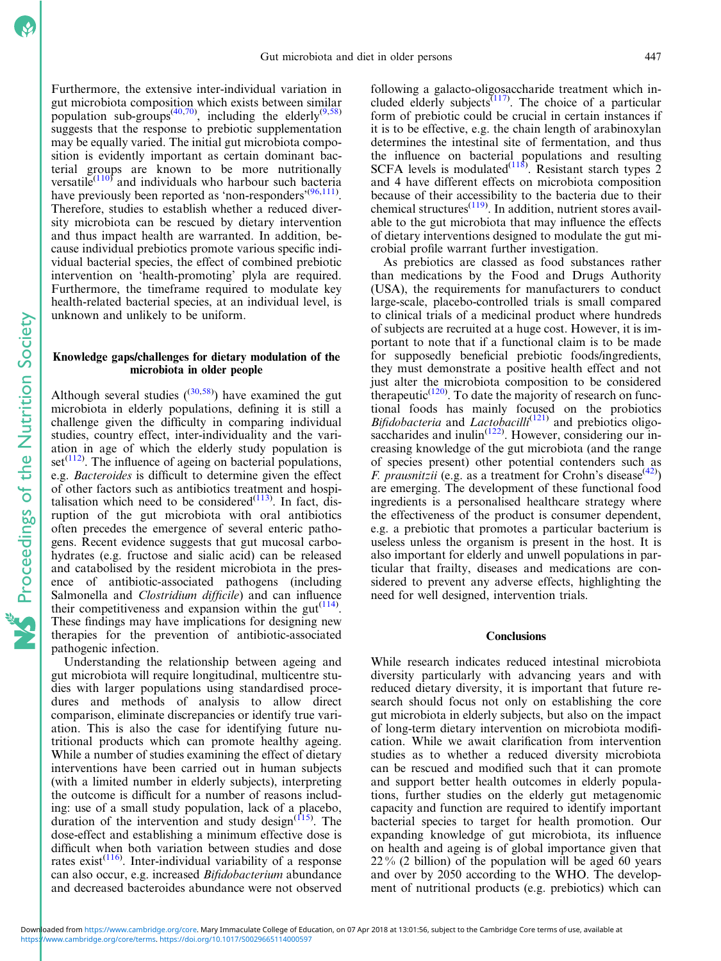Proceedings of the Nutrition Society

Proceedings of the Nutrition Society

Furthermore, the extensive inter-individual variation in gut microbiota composition which exists between similar population sub-groups<sup>[\(40,](#page-8-0)[70](#page-9-0))</sup>, including the elderly<sup>([9](#page-7-0)[,58\)](#page-8-0)</sup> suggests that the response to prebiotic supplementation may be equally varied. The initial gut microbiota composition is evidently important as certain dominant bacterial groups are known to be more nutritionally versatile<sup> $(110)$ </sup> and individuals who harbour such bacteria have previously been reported as 'non-responders'<sup>[\(96,](#page-9-0)[111](#page-10-0))</sup>. Therefore, studies to establish whether a reduced diversity microbiota can be rescued by dietary intervention and thus impact health are warranted. In addition, because individual prebiotics promote various specific individual bacterial species, the effect of combined prebiotic intervention on 'health-promoting' plyla are required. Furthermore, the timeframe required to modulate key health-related bacterial species, at an individual level, is unknown and unlikely to be uniform.

# Knowledge gaps/challenges for dietary modulation of the microbiota in older people

Although several studies  $(30,58)$  $(30,58)$  have examined the gut microbiota in elderly populations, defining it is still a challenge given the difficulty in comparing individual studies, country effect, inter-individuality and the variation in age of which the elderly study population is set<sup>[\(112](#page-10-0))</sup>. The influence of ageing on bacterial populations, e.g. Bacteroides is difficult to determine given the effect of other factors such as antibiotics treatment and hospitalisation which need to be considered $(113)$ . In fact, disruption of the gut microbiota with oral antibiotics often precedes the emergence of several enteric pathogens. Recent evidence suggests that gut mucosal carbohydrates (e.g. fructose and sialic acid) can be released and catabolised by the resident microbiota in the presence of antibiotic-associated pathogens (including Salmonella and Clostridium difficile) and can influence their competitiveness and expansion within the gut<sup>([114](#page-10-0))</sup>. These findings may have implications for designing new therapies for the prevention of antibiotic-associated pathogenic infection.

Understanding the relationship between ageing and gut microbiota will require longitudinal, multicentre studies with larger populations using standardised procedures and methods of analysis to allow direct comparison, eliminate discrepancies or identify true variation. This is also the case for identifying future nutritional products which can promote healthy ageing. While a number of studies examining the effect of dietary interventions have been carried out in human subjects (with a limited number in elderly subjects), interpreting the outcome is difficult for a number of reasons including: use of a small study population, lack of a placebo, duration of the intervention and study design $(15)$ . The dose-effect and establishing a minimum effective dose is difficult when both variation between studies and dose rates exist<sup>[\(116\)](#page-10-0)</sup>. Inter-individual variability of a response can also occur, e.g. increased Bifidobacterium abundance and decreased bacteroides abundance were not observed

following a galacto-oligosaccharide treatment which in-cluded elderly subjects<sup>[\(117\)](#page-10-0)</sup>. The choice of a particular form of prebiotic could be crucial in certain instances if it is to be effective, e.g. the chain length of arabinoxylan determines the intestinal site of fermentation, and thus the influence on bacterial populations and resulting SCFA levels is modulated $(118)$ . Resistant starch types 2 and 4 have different effects on microbiota composition because of their accessibility to the bacteria due to their chemical structures $(119)$  $(119)$ . In addition, nutrient stores avail-

crobial profile warrant further investigation. As prebiotics are classed as food substances rather than medications by the Food and Drugs Authority (USA), the requirements for manufacturers to conduct large-scale, placebo-controlled trials is small compared to clinical trials of a medicinal product where hundreds of subjects are recruited at a huge cost. However, it is important to note that if a functional claim is to be made for supposedly beneficial prebiotic foods/ingredients, they must demonstrate a positive health effect and not just alter the microbiota composition to be considered therapeutic<sup>([120](#page-10-0))</sup>. To date the majority of research on functional foods has mainly focused on the probiotics Bifidobacteria and Lactobacilli<sup>([121\)](#page-10-0)</sup> and prebiotics oligo-saccharides and inulin<sup>([122](#page-10-0))</sup>. However, considering our increasing knowledge of the gut microbiota (and the range of species present) other potential contenders such as F. prausnitzii (e.g. as a treatment for Crohn's disease<sup>[\(42\)](#page-8-0)</sup>) are emerging. The development of these functional food ingredients is a personalised healthcare strategy where the effectiveness of the product is consumer dependent, e.g. a prebiotic that promotes a particular bacterium is useless unless the organism is present in the host. It is also important for elderly and unwell populations in particular that frailty, diseases and medications are considered to prevent any adverse effects, highlighting the need for well designed, intervention trials.

able to the gut microbiota that may influence the effects of dietary interventions designed to modulate the gut mi-

### **Conclusions**

While research indicates reduced intestinal microbiota diversity particularly with advancing years and with reduced dietary diversity, it is important that future research should focus not only on establishing the core gut microbiota in elderly subjects, but also on the impact of long-term dietary intervention on microbiota modification. While we await clarification from intervention studies as to whether a reduced diversity microbiota can be rescued and modified such that it can promote and support better health outcomes in elderly populations, further studies on the elderly gut metagenomic capacity and function are required to identify important bacterial species to target for health promotion. Our expanding knowledge of gut microbiota, its influence on health and ageing is of global importance given that 22 % (2 billion) of the population will be aged 60 years and over by 2050 according to the WHO. The development of nutritional products (e.g. prebiotics) which can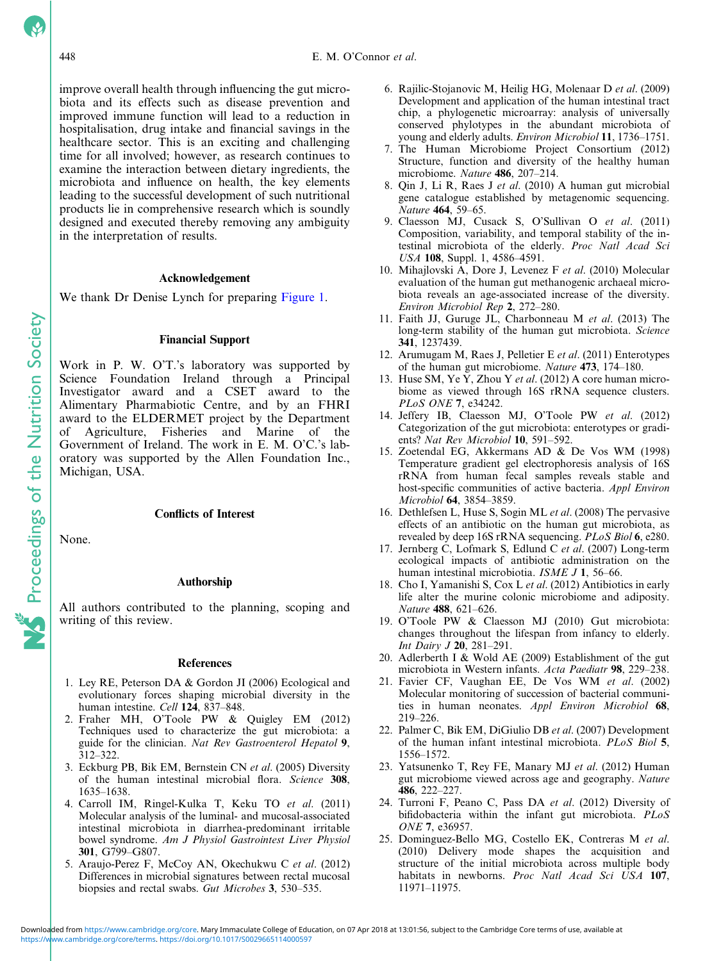<span id="page-7-0"></span>improve overall health through influencing the gut microbiota and its effects such as disease prevention and improved immune function will lead to a reduction in hospitalisation, drug intake and financial savings in the healthcare sector. This is an exciting and challenging time for all involved; however, as research continues to examine the interaction between dietary ingredients, the microbiota and influence on health, the key elements leading to the successful development of such nutritional products lie in comprehensive research which is soundly designed and executed thereby removing any ambiguity in the interpretation of results.

# Acknowledgement

We thank Dr Denise Lynch for preparing [Figure 1](#page-1-0).

# Financial Support

Work in P. W. O'T.'s laboratory was supported by Science Foundation Ireland through a Principal Investigator award and a CSET award to the Alimentary Pharmabiotic Centre, and by an FHRI award to the ELDERMET project by the Department of Agriculture, Fisheries and Marine of the Government of Ireland. The work in E. M. O'C.'s laboratory was supported by the Allen Foundation Inc., Michigan, USA.

# Conflicts of Interest

None.

# Authorship

All authors contributed to the planning, scoping and writing of this review.

# References

- 1. Ley RE, Peterson DA & Gordon JI (2006) Ecological and evolutionary forces shaping microbial diversity in the human intestine. Cell 124, 837-848.
- 2. Fraher MH, O'Toole PW & Quigley EM (2012) Techniques used to characterize the gut microbiota: a guide for the clinician. Nat Rev Gastroenterol Hepatol 9, 312–322.
- 3. Eckburg PB, Bik EM, Bernstein CN et al. (2005) Diversity of the human intestinal microbial flora. Science 308, 1635–1638.
- 4. Carroll IM, Ringel-Kulka T, Keku TO et al. (2011) Molecular analysis of the luminal- and mucosal-associated intestinal microbiota in diarrhea-predominant irritable bowel syndrome. Am J Physiol Gastrointest Liver Physiol 301, G799–G807.
- 5. Araujo-Perez F, McCoy AN, Okechukwu C et al. (2012) Differences in microbial signatures between rectal mucosal biopsies and rectal swabs. Gut Microbes 3, 530–535.
- 6. Rajilic-Stojanovic M, Heilig HG, Molenaar D et al. (2009) Development and application of the human intestinal tract chip, a phylogenetic microarray: analysis of universally conserved phylotypes in the abundant microbiota of young and elderly adults. Environ Microbiol 11, 1736–1751.
- 7. The Human Microbiome Project Consortium (2012) Structure, function and diversity of the healthy human microbiome. Nature 486, 207–214.
- 8. Qin J, Li R, Raes J et al. (2010) A human gut microbial gene catalogue established by metagenomic sequencing. Nature 464, 59–65.
- 9. Claesson MJ, Cusack S, O'Sullivan O et al. (2011) Composition, variability, and temporal stability of the intestinal microbiota of the elderly. Proc Natl Acad Sci USA 108, Suppl. 1, 4586–4591.
- 10. Mihajlovski A, Dore J, Levenez F et al. (2010) Molecular evaluation of the human gut methanogenic archaeal microbiota reveals an age-associated increase of the diversity. Environ Microbiol Rep 2, 272–280.
- 11. Faith JJ, Guruge JL, Charbonneau M et al. (2013) The long-term stability of the human gut microbiota. Science 341, 1237439.
- 12. Arumugam M, Raes J, Pelletier E et al. (2011) Enterotypes of the human gut microbiome. Nature 473, 174–180.
- 13. Huse SM, Ye Y, Zhou Y et al. (2012) A core human microbiome as viewed through 16S rRNA sequence clusters. PLoS ONE 7, e34242.
- 14. Jeffery IB, Claesson MJ, O'Toole PW et al. (2012) Categorization of the gut microbiota: enterotypes or gradients? Nat Rev Microbiol 10, 591–592.
- 15. Zoetendal EG, Akkermans AD & De Vos WM (1998) Temperature gradient gel electrophoresis analysis of 16S rRNA from human fecal samples reveals stable and host-specific communities of active bacteria. Appl Environ Microbiol 64, 3854–3859.
- 16. Dethlefsen L, Huse S, Sogin ML et al. (2008) The pervasive effects of an antibiotic on the human gut microbiota, as revealed by deep 16S rRNA sequencing. PLoS Biol 6, e280.
- 17. Jernberg C, Lofmark S, Edlund C et al. (2007) Long-term ecological impacts of antibiotic administration on the human intestinal microbiotia. ISME J 1, 56–66.
- 18. Cho I, Yamanishi S, Cox L et al. (2012) Antibiotics in early life alter the murine colonic microbiome and adiposity. Nature 488, 621–626.
- 19. O'Toole PW & Claesson MJ (2010) Gut microbiota: changes throughout the lifespan from infancy to elderly. Int Dairy J 20, 281–291.
- 20. Adlerberth I & Wold AE (2009) Establishment of the gut microbiota in Western infants. Acta Paediatr 98, 229–238.
- 21. Favier CF, Vaughan EE, De Vos WM et al. (2002) Molecular monitoring of succession of bacterial communities in human neonates. Appl Environ Microbiol 68, 219–226.
- 22. Palmer C, Bik EM, DiGiulio DB et al. (2007) Development of the human infant intestinal microbiota. PLoS Biol 5, 1556–1572.
- 23. Yatsunenko T, Rey FE, Manary MJ et al. (2012) Human gut microbiome viewed across age and geography. Nature 486, 222–227.
- 24. Turroni F, Peano C, Pass DA et al. (2012) Diversity of bifidobacteria within the infant gut microbiota. PLoS ONE 7, e36957.
- 25. Dominguez-Bello MG, Costello EK, Contreras M et al. (2010) Delivery mode shapes the acquisition and structure of the initial microbiota across multiple body habitats in newborns. Proc Natl Acad Sci USA 107, 11971–11975.

# Proceedings of the Nutrition Society Proceedings of the Nutrition Society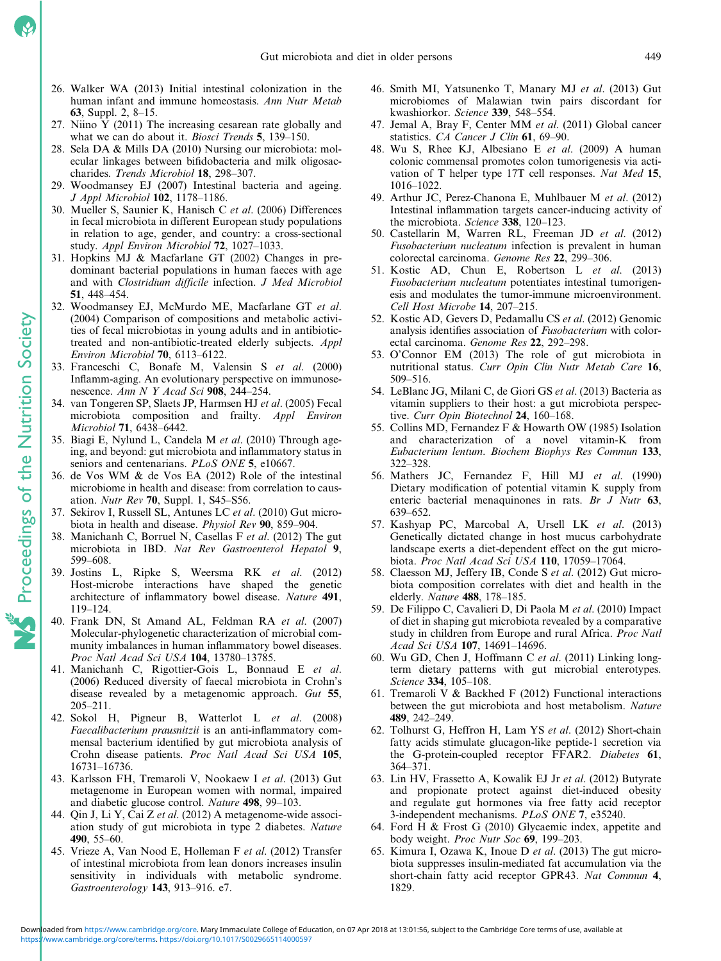- <span id="page-8-0"></span>26. Walker WA (2013) Initial intestinal colonization in the human infant and immune homeostasis. Ann Nutr Metab 63, Suppl. 2, 8–15.
- 27. Niino Y (2011) The increasing cesarean rate globally and what we can do about it. *Biosci Trends* 5, 139-150.
- 28. Sela DA & Mills DA (2010) Nursing our microbiota: molecular linkages between bifidobacteria and milk oligosaccharides. Trends Microbiol 18, 298–307.
- 29. Woodmansey EJ (2007) Intestinal bacteria and ageing. J Appl Microbiol 102, 1178–1186.
- 30. Mueller S, Saunier K, Hanisch C et al. (2006) Differences in fecal microbiota in different European study populations in relation to age, gender, and country: a cross-sectional study. Appl Environ Microbiol 72, 1027–1033.
- 31. Hopkins MJ & Macfarlane GT (2002) Changes in predominant bacterial populations in human faeces with age and with Clostridium difficile infection. J Med Microbiol 51, 448–454.
- 32. Woodmansey EJ, McMurdo ME, Macfarlane GT et al. (2004) Comparison of compositions and metabolic activities of fecal microbiotas in young adults and in antibiotictreated and non-antibiotic-treated elderly subjects. Appl Environ Microbiol 70, 6113–6122.
- 33. Franceschi C, Bonafe M, Valensin S et al. (2000) Inflamm-aging. An evolutionary perspective on immunosenescence. Ann N Y Acad Sci 908, 244–254.
- 34. van Tongeren SP, Slaets JP, Harmsen HJ et al. (2005) Fecal microbiota composition and frailty. Appl Environ Microbiol 71, 6438–6442.
- 35. Biagi E, Nylund L, Candela M et al. (2010) Through ageing, and beyond: gut microbiota and inflammatory status in seniors and centenarians. PLoS ONE 5, e10667.
- 36. de Vos WM & de Vos EA (2012) Role of the intestinal microbiome in health and disease: from correlation to causation. Nutr Rev 70, Suppl. 1, S45–S56.
- 37. Sekirov I, Russell SL, Antunes LC et al. (2010) Gut microbiota in health and disease. Physiol Rev 90, 859–904.
- 38. Manichanh C, Borruel N, Casellas F et al. (2012) The gut microbiota in IBD. Nat Rev Gastroenterol Hepatol 9, 599–608.
- 39. Jostins L, Ripke S, Weersma RK et al. (2012) Host-microbe interactions have shaped the genetic architecture of inflammatory bowel disease. Nature 491, 119–124.
- 40. Frank DN, St Amand AL, Feldman RA et al. (2007) Molecular-phylogenetic characterization of microbial community imbalances in human inflammatory bowel diseases. Proc Natl Acad Sci USA 104, 13780–13785.
- 41. Manichanh C, Rigottier-Gois L, Bonnaud E et al. (2006) Reduced diversity of faecal microbiota in Crohn's disease revealed by a metagenomic approach. Gut 55, 205–211.
- 42. Sokol H, Pigneur B, Watterlot L et al. (2008) Faecalibacterium prausnitzii is an anti-inflammatory commensal bacterium identified by gut microbiota analysis of Crohn disease patients. Proc Natl Acad Sci USA 105, 16731–16736.
- 43. Karlsson FH, Tremaroli V, Nookaew I et al. (2013) Gut metagenome in European women with normal, impaired and diabetic glucose control. Nature 498, 99–103.
- 44. Qin J, Li Y, Cai Z et al. (2012) A metagenome-wide association study of gut microbiota in type 2 diabetes. Nature 490, 55–60.
- 45. Vrieze A, Van Nood E, Holleman F et al. (2012) Transfer of intestinal microbiota from lean donors increases insulin sensitivity in individuals with metabolic syndrome. Gastroenterology 143, 913–916. e7.
- 46. Smith MI, Yatsunenko T, Manary MJ et al. (2013) Gut microbiomes of Malawian twin pairs discordant for kwashiorkor. Science 339, 548–554.
- 47. Jemal A, Bray F, Center MM et al. (2011) Global cancer statistics. CA Cancer J Clin 61, 69-90.
- 48. Wu S, Rhee KJ, Albesiano E et al. (2009) A human colonic commensal promotes colon tumorigenesis via activation of T helper type 17T cell responses. Nat Med 15, 1016–1022.
- 49. Arthur JC, Perez-Chanona E, Muhlbauer M et al. (2012) Intestinal inflammation targets cancer-inducing activity of the microbiota. Science 338, 120–123.
- 50. Castellarin M, Warren RL, Freeman JD et al. (2012) Fusobacterium nucleatum infection is prevalent in human colorectal carcinoma. Genome Res 22, 299–306.
- 51. Kostic AD, Chun E, Robertson L et al. (2013) Fusobacterium nucleatum potentiates intestinal tumorigenesis and modulates the tumor-immune microenvironment. Cell Host Microbe 14, 207–215.
- 52. Kostic AD, Gevers D, Pedamallu CS et al. (2012) Genomic analysis identifies association of Fusobacterium with colorectal carcinoma. Genome Res 22, 292–298.
- 53. O'Connor EM (2013) The role of gut microbiota in nutritional status. Curr Opin Clin Nutr Metab Care 16, 509–516.
- 54. LeBlanc JG, Milani C, de Giori GS et al. (2013) Bacteria as vitamin suppliers to their host: a gut microbiota perspective. Curr Opin Biotechnol 24, 160-168.
- 55. Collins MD, Fernandez F & Howarth OW (1985) Isolation and characterization of a novel vitamin-K from Eubacterium lentum. Biochem Biophys Res Commun 133, 322–328.
- 56. Mathers JC, Fernandez F, Hill MJ et al. (1990) Dietary modification of potential vitamin K supply from enteric bacterial menaquinones in rats. Br J Nutr 63, 639–652.
- 57. Kashyap PC, Marcobal A, Ursell LK et al. (2013) Genetically dictated change in host mucus carbohydrate landscape exerts a diet-dependent effect on the gut microbiota. Proc Natl Acad Sci USA 110, 17059–17064.
- 58. Claesson MJ, Jeffery IB, Conde S et al. (2012) Gut microbiota composition correlates with diet and health in the elderly. Nature 488, 178–185.
- 59. De Filippo C, Cavalieri D, Di Paola M et al. (2010) Impact of diet in shaping gut microbiota revealed by a comparative study in children from Europe and rural Africa. Proc Natl Acad Sci USA 107, 14691–14696.
- 60. Wu GD, Chen J, Hoffmann C et al. (2011) Linking longterm dietary patterns with gut microbial enterotypes. Science 334, 105–108.
- 61. Tremaroli V & Backhed F (2012) Functional interactions between the gut microbiota and host metabolism. Nature 489, 242–249.
- 62. Tolhurst G, Heffron H, Lam YS et al. (2012) Short-chain fatty acids stimulate glucagon-like peptide-1 secretion via the G-protein-coupled receptor FFAR2. Diabetes 61, 364–371.
- 63. Lin HV, Frassetto A, Kowalik EJ Jr et al. (2012) Butyrate and propionate protect against diet-induced obesity and regulate gut hormones via free fatty acid receptor 3-independent mechanisms. PLoS ONE 7, e35240.
- 64. Ford H & Frost G (2010) Glycaemic index, appetite and body weight. Proc Nutr Soc 69, 199–203.
- 65. Kimura I, Ozawa K, Inoue D et al. (2013) The gut microbiota suppresses insulin-mediated fat accumulation via the short-chain fatty acid receptor GPR43. Nat Commun 4, 1829.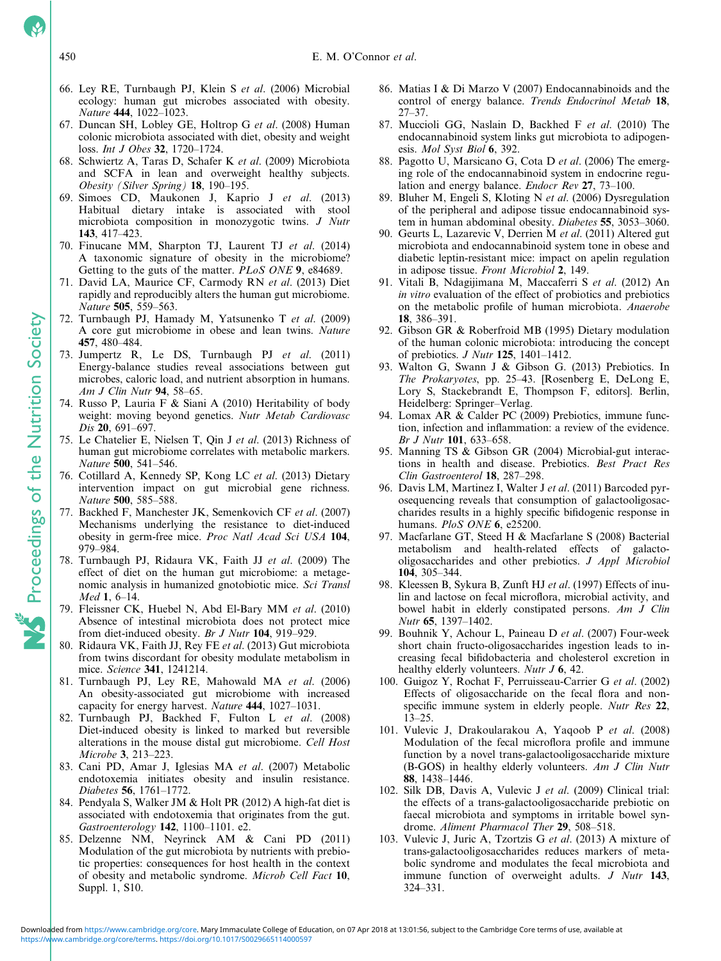- 66. Ley RE, Turnbaugh PJ, Klein S et al. (2006) Microbial ecology: human gut microbes associated with obesity. Nature 444, 1022–1023.
- 67. Duncan SH, Lobley GE, Holtrop G et al. (2008) Human colonic microbiota associated with diet, obesity and weight loss. Int J Obes 32, 1720–1724.
- 68. Schwiertz A, Taras D, Schafer K et al. (2009) Microbiota and SCFA in lean and overweight healthy subjects. Obesity (Silver Spring) 18, 190–195.
- 69. Simoes CD, Maukonen J, Kaprio J et al. (2013) Habitual dietary intake is associated with stool microbiota composition in monozygotic twins. J Nutr 143, 417–423.
- 70. Finucane MM, Sharpton TJ, Laurent TJ et al. (2014) A taxonomic signature of obesity in the microbiome? Getting to the guts of the matter. PLoS ONE 9, e84689.
- 71. David LA, Maurice CF, Carmody RN et al. (2013) Diet rapidly and reproducibly alters the human gut microbiome. Nature 505, 559–563.
- 72. Turnbaugh PJ, Hamady M, Yatsunenko T et al. (2009) A core gut microbiome in obese and lean twins. Nature 457, 480–484.
- 73. Jumpertz R, Le DS, Turnbaugh PJ et al. (2011) Energy-balance studies reveal associations between gut microbes, caloric load, and nutrient absorption in humans. Am J Clin Nutr 94, 58–65.
- 74. Russo P, Lauria F & Siani A (2010) Heritability of body weight: moving beyond genetics. Nutr Metab Cardiovasc Dis 20, 691-697.
- 75. Le Chatelier E, Nielsen T, Qin J et al. (2013) Richness of human gut microbiome correlates with metabolic markers. Nature 500, 541–546.
- 76. Cotillard A, Kennedy SP, Kong LC et al. (2013) Dietary intervention impact on gut microbial gene richness. Nature 500, 585–588.
- 77. Backhed F, Manchester JK, Semenkovich CF et al. (2007) Mechanisms underlying the resistance to diet-induced obesity in germ-free mice. Proc Natl Acad Sci USA 104, 979–984.
- 78. Turnbaugh PJ, Ridaura VK, Faith JJ et al. (2009) The effect of diet on the human gut microbiome: a metagenomic analysis in humanized gnotobiotic mice. Sci Transl Med 1, 6–14.
- 79. Fleissner CK, Huebel N, Abd El-Bary MM et al. (2010) Absence of intestinal microbiota does not protect mice from diet-induced obesity. Br J Nutr 104, 919-929.
- 80. Ridaura VK, Faith JJ, Rey FE et al. (2013) Gut microbiota from twins discordant for obesity modulate metabolism in mice. Science 341, 1241214.
- 81. Turnbaugh PJ, Ley RE, Mahowald MA et al. (2006) An obesity-associated gut microbiome with increased capacity for energy harvest. Nature 444, 1027-1031.
- 82. Turnbaugh PJ, Backhed F, Fulton L et al. (2008) Diet-induced obesity is linked to marked but reversible alterations in the mouse distal gut microbiome. Cell Host Microbe 3, 213–223.
- 83. Cani PD, Amar J, Iglesias MA et al. (2007) Metabolic endotoxemia initiates obesity and insulin resistance. Diabetes 56, 1761–1772.
- 84. Pendyala S, Walker JM & Holt PR (2012) A high-fat diet is associated with endotoxemia that originates from the gut. Gastroenterology 142, 1100–1101. e2.
- 85. Delzenne NM, Neyrinck AM & Cani PD (2011) Modulation of the gut microbiota by nutrients with prebiotic properties: consequences for host health in the context of obesity and metabolic syndrome. Microb Cell Fact 10, Suppl. 1, S10.
- 86. Matias I & Di Marzo V (2007) Endocannabinoids and the control of energy balance. Trends Endocrinol Metab 18, 27–37.
- 87. Muccioli GG, Naslain D, Backhed F et al. (2010) The endocannabinoid system links gut microbiota to adipogenesis. Mol Syst Biol 6, 392.
- 88. Pagotto U, Marsicano G, Cota D et al. (2006) The emerging role of the endocannabinoid system in endocrine regulation and energy balance. Endocr Rev 27, 73–100.
- 89. Bluher M, Engeli S, Kloting N et al. (2006) Dysregulation of the peripheral and adipose tissue endocannabinoid system in human abdominal obesity. Diabetes 55, 3053–3060.
- 90. Geurts L, Lazarevic V, Derrien M et al. (2011) Altered gut microbiota and endocannabinoid system tone in obese and diabetic leptin-resistant mice: impact on apelin regulation in adipose tissue. Front Microbiol 2, 149.
- 91. Vitali B, Ndagijimana M, Maccaferri S et al. (2012) An in vitro evaluation of the effect of probiotics and prebiotics on the metabolic profile of human microbiota. Anaerobe 18, 386–391.
- 92. Gibson GR & Roberfroid MB (1995) Dietary modulation of the human colonic microbiota: introducing the concept of prebiotics. *J Nutr* 125, 1401-1412.
- 93. Walton G, Swann J & Gibson G. (2013) Prebiotics. In The Prokaryotes, pp. 25–43. [Rosenberg E, DeLong E, Lory S, Stackebrandt E, Thompson F, editors]. Berlin, Heidelberg: Springer–Verlag.
- 94. Lomax AR & Calder PC (2009) Prebiotics, immune function, infection and inflammation: a review of the evidence. Br J Nutr 101, 633–658.
- 95. Manning TS & Gibson GR (2004) Microbial-gut interactions in health and disease. Prebiotics. Best Pract Res Clin Gastroenterol 18, 287–298.
- 96. Davis LM, Martinez I, Walter J et al. (2011) Barcoded pyrosequencing reveals that consumption of galactooligosaccharides results in a highly specific bifidogenic response in humans. PloS ONE 6, e25200.
- 97. Macfarlane GT, Steed H & Macfarlane S (2008) Bacterial metabolism and health-related effects of galactooligosaccharides and other prebiotics. J Appl Microbiol 104, 305–344.
- 98. Kleessen B, Sykura B, Zunft HJ et al. (1997) Effects of inulin and lactose on fecal microflora, microbial activity, and bowel habit in elderly constipated persons. Am J Clin Nutr 65, 1397–1402.
- 99. Bouhnik Y, Achour L, Paineau D et al. (2007) Four-week short chain fructo-oligosaccharides ingestion leads to increasing fecal bifidobacteria and cholesterol excretion in healthy elderly volunteers. Nutr J 6, 42.
- 100. Guigoz Y, Rochat F, Perruisseau-Carrier G et al. (2002) Effects of oligosaccharide on the fecal flora and nonspecific immune system in elderly people. Nutr Res 22, 13–25.
- 101. Vulevic J, Drakoularakou A, Yaqoob P et al. (2008) Modulation of the fecal microflora profile and immune function by a novel trans-galactooligosaccharide mixture (B-GOS) in healthy elderly volunteers. Am J Clin Nutr 88, 1438–1446.
- 102. Silk DB, Davis A, Vulevic J et al. (2009) Clinical trial: the effects of a trans-galactooligosaccharide prebiotic on faecal microbiota and symptoms in irritable bowel syndrome. Aliment Pharmacol Ther 29, 508–518.
- 103. Vulevic J, Juric A, Tzortzis G et al. (2013) A mixture of trans-galactooligosaccharides reduces markers of metabolic syndrome and modulates the fecal microbiota and immune function of overweight adults. *J Nutr* 143, 324–331.

# Proceedings of the Nutrition Society Proceedings of the Nutrition Society

<span id="page-9-0"></span>